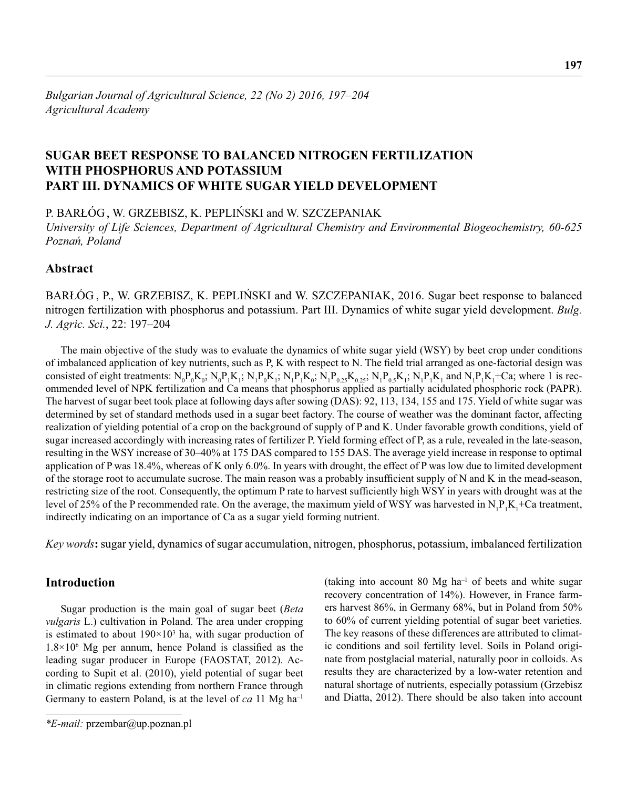# **SUGAR BEET RESPONSE TO BALANCED NITROGEN FERTILIZATION WITH PHOSPHORUS AND POTASSIUM PART III. DYNAMICS OF WHITE SUGAR YIELD DEVELOPMENT**

P. BARŁÓG , W. GRZEBISZ, K. PEPLIŃSKI and W. SZCZEPANIAK

*University of Life Sciences, Department of Agricultural Chemistry and Environmental Biogeochemistry, 60-625 Poznań, Poland*

## **Abstract**

BARŁÓG , P., W. GRZEBISZ, K. PEPLIŃSKI and W. SZCZEPANIAK, 2016. Sugar beet response to balanced nitrogen fertilization with phosphorus and potassium. Part III. Dynamics of white sugar yield development. *Bulg. J. Agric. Sci.*, 22: 197–204

The main objective of the study was to evaluate the dynamics of white sugar yield (WSY) by beet crop under conditions of imbalanced application of key nutrients, such as P, K with respect to N. The field trial arranged as one-factorial design was consisted of eight treatments:  $N_0P_0K_0$ ;  $N_0P_1K_1$ ;  $N_1P_0K_1$ ;  $N_1P_1K_0$ ;  $N_1P_{0.25}K_{0.25}$ ;  $N_1P_{0.5}K_1$ ;  $N_1P_1K_1$  and  $N_1P_1K_1$ +Ca; where 1 is recommended level of NPK fertilization and Ca means that phosphorus applied as partially acidulated phosphoric rock (PAPR). The harvest of sugar beet took place at following days after sowing (DAS): 92, 113, 134, 155 and 175. Yield of white sugar was determined by set of standard methods used in a sugar beet factory. The course of weather was the dominant factor, affecting realization of yielding potential of a crop on the background of supply of P and K. Under favorable growth conditions, yield of sugar increased accordingly with increasing rates of fertilizer P. Yield forming effect of P, as a rule, revealed in the late-season, resulting in the WSY increase of 30–40% at 175 DAS compared to 155 DAS. The average yield increase in response to optimal application of P was 18.4%, whereas of K only 6.0%. In years with drought, the effect of P was low due to limited development of the storage root to accumulate sucrose. The main reason was a probably insufficient supply of  $N$  and  $K$  in the mead-season, restricting size of the root. Consequently, the optimum P rate to harvest sufficiently high WSY in years with drought was at the level of 25% of the P recommended rate. On the average, the maximum yield of WSY was harvested in  $N_1P_1K_1+C$ a treatment, indirectly indicating on an importance of Ca as a sugar yield forming nutrient.

*Key words***:** sugar yield, dynamics of sugar accumulation, nitrogen, phosphorus, potassium, imbalanced fertilization

## **Introduction**

Sugar production is the main goal of sugar beet (*Beta vulgaris* L.) cultivation in Poland. The area under cropping is estimated to about  $190 \times 10^3$  ha, with sugar production of  $1.8 \times 10^6$  Mg per annum, hence Poland is classified as the leading sugar producer in Europe (FAOSTAT, 2012). According to Supit et al. (2010), yield potential of sugar beet in climatic regions extending from northern France through Germany to eastern Poland, is at the level of *ca* 11 Mg ha–1

(taking into account 80 Mg  $ha^{-1}$  of beets and white sugar recovery concentration of 14%). However, in France farmers harvest 86%, in Germany 68%, but in Poland from 50% to 60% of current yielding potential of sugar beet varieties. The key reasons of these differences are attributed to climatic conditions and soil fertility level. Soils in Poland originate from postglacial material, naturally poor in colloids. As results they are characterized by a low-water retention and natural shortage of nutrients, especially potassium (Grzebisz and Diatta, 2012). There should be also taken into account

*<sup>\*</sup>E-mail:* przembar@up.poznan.pl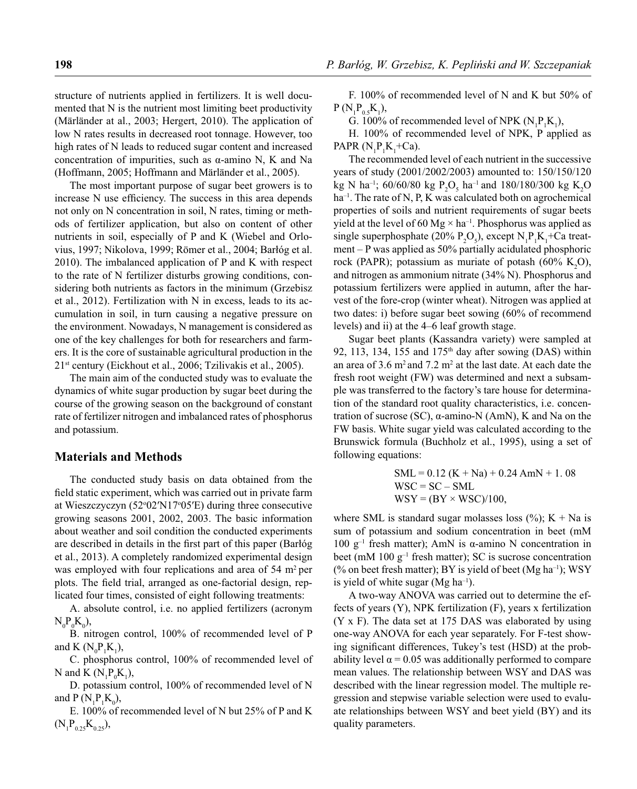structure of nutrients applied in fertilizers. It is well documented that N is the nutrient most limiting beet productivity (Märländer at al., 2003; Hergert, 2010). The application of low N rates results in decreased root tonnage. However, too high rates of N leads to reduced sugar content and increased concentration of impurities, such as α-amino N, K and Na (Hoffmann, 2005; Hoffmann and Märländer et al., 2005).

The most important purpose of sugar beet growers is to increase N use efficiency. The success in this area depends not only on N concentration in soil, N rates, timing or methods of fertilizer application, but also on content of other nutrients in soil, especially of P and K (Wiebel and Orlovius, 1997; Nikolova, 1999; Römer et al., 2004; Barłóg et al. 2010). The imbalanced application of P and K with respect to the rate of N fertilizer disturbs growing conditions, considering both nutrients as factors in the minimum (Grzebisz et al., 2012). Fertilization with N in excess, leads to its accumulation in soil, in turn causing a negative pressure on the environment. Nowadays, N management is considered as one of the key challenges for both for researchers and farmers. It is the core of sustainable agricultural production in the 21st century (Eickhout et al., 2006; Tzilivakis et al., 2005).

The main aim of the conducted study was to evaluate the dynamics of white sugar production by sugar beet during the course of the growing season on the background of constant rate of fertilizer nitrogen and imbalanced rates of phosphorus and potassium.

## **Materials and Methods**

The conducted study basis on data obtained from the field static experiment, which was carried out in private farm at Wieszczyczyn (52°02'N17°05'E) during three consecutive growing seasons 2001, 2002, 2003. The basic information about weather and soil condition the conducted experiments are described in details in the first part of this paper (Barłóg et al., 2013). A completely randomized experimental design was employed with four replications and area of 54 m<sup>2</sup> per plots. The field trial, arranged as one-factorial design, replicated four times, consisted of eight following treatments:

A. absolute control, i.e. no applied fertilizers (acronym  $N_{0}P_{0}K_{0}$ ),

B. nitrogen control, 100% of recommended level of P and K  $(N_0P_1K_1)$ ,

C. phosphorus control, 100% of recommended level of N and K  $(N_1P_0K_1)$ ,

D. potassium control, 100% of recommended level of N and  $P(N_1P_1K_0)$ ,

E. 100% of recommended level of N but 25% of P and K  $(N_1P_{0.25}K_{0.25}),$ 

F. 100% of recommended level of N and K but 50% of  $P(N_1P_{0.5}K_1),$ 

G. 100% of recommended level of NPK  $(N_1P_1K_1)$ ,

H. 100% of recommended level of NPK, P applied as PAPR  $(N_1P_1K_1+Ca)$ .

The recommended level of each nutrient in the successive years of study (2001/2002/2003) amounted to: 150/150/120 kg N ha<sup>-1</sup>; 60/60/80 kg P<sub>2</sub>O<sub>5</sub> ha<sup>-1</sup> and 180/180/300 kg K<sub>2</sub>O ha<sup>-1</sup>. The rate of N, P, K was calculated both on agrochemical properties of soils and nutrient requirements of sugar beets yield at the level of 60 Mg  $\times$  ha<sup>-1</sup>. Phosphorus was applied as single superphosphate (20%  $P_2O_5$ ), except  $N_1P_1K_1+Ca$  treatment – P was applied as 50% partially acidulated phosphoric rock (PAPR); potassium as muriate of potash  $(60\% \text{ K}_2\text{O})$ , and nitrogen as ammonium nitrate (34% N). Phosphorus and potassium fertilizers were applied in autumn, after the harvest of the fore-crop (winter wheat). Nitrogen was applied at two dates: i) before sugar beet sowing (60% of recommend levels) and ii) at the 4–6 leaf growth stage.

Sugar beet plants (Kassandra variety) were sampled at 92, 113, 134, 155 and 175<sup>th</sup> day after sowing (DAS) within an area of  $3.6 \text{ m}^2$  and  $7.2 \text{ m}^2$  at the last date. At each date the fresh root weight (FW) was determined and next a subsample was transferred to the factory's tare house for determination of the standard root quality characteristics, i.e. concentration of sucrose (SC), α-amino-N (AmN), K and Na on the FW basis. White sugar yield was calculated according to the Brunswick formula (Buchholz et al., 1995), using a set of following equations:

SML = 0.12 (K + Na) + 0.24 AmN + 1. 08 WSC = SC – SML WSY = (BY × WSC)/100,

where SML is standard sugar molasses loss  $(\%); K + Na$  is sum of potassium and sodium concentration in beet (mM 100 g<sup>-1</sup> fresh matter); AmN is α-amino N concentration in beet (mM 100  $g^{-1}$  fresh matter); SC is sucrose concentration (% on beet fresh matter); BY is yield of beet (Mg ha<sup>-1</sup>); WSY is yield of white sugar (Mg ha<sup>-1</sup>).

A two-way ANOVA was carried out to determine the effects of years (Y), NPK fertilization (F), years x fertilization (Y x F). The data set at 175 DAS was elaborated by using one-way ANOVA for each year separately. For F-test showing significant differences, Tukey's test (HSD) at the probability level  $\alpha$  = 0.05 was additionally performed to compare mean values. The relationship between WSY and DAS was described with the linear regression model. The multiple regression and stepwise variable selection were used to evaluate relationships between WSY and beet yield (BY) and its quality parameters.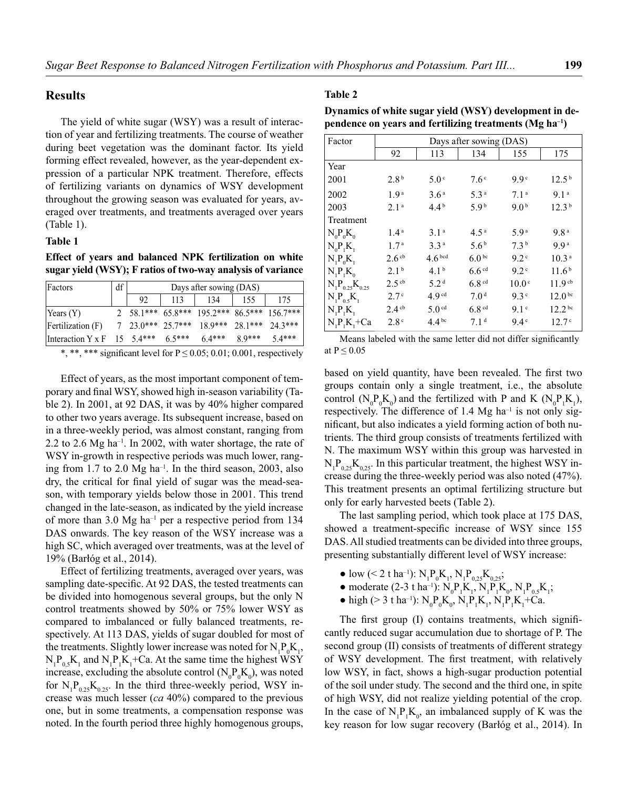#### **Results**

The yield of white sugar (WSY) was a result of interaction of year and fertilizing treatments. The course of weather during beet vegetation was the dominant factor. Its yield forming effect revealed, however, as the year-dependent expression of a particular NPK treatment. Therefore, effects of fertilizing variants on dynamics of WSY development throughout the growing season was evaluated for years, averaged over treatments, and treatments averaged over years (Table 1).

#### **Table 1**

**Effect of years and balanced NPK fertilization on white sugar yield (WSY); F ratios of two-way analysis of variance**

| Factors                                   | df | Days after sowing (DAS) |     |                                                                      |          |          |
|-------------------------------------------|----|-------------------------|-----|----------------------------------------------------------------------|----------|----------|
|                                           |    | 92                      | 113 | 134                                                                  | 155      | 175      |
| $\text{Years} (Y)$                        |    |                         |     | 2 58.1*** 65.8*** 195.2*** 86.5*** 156.7***                          |          |          |
| Fertilization(F)                          |    |                         |     | $7\quad 23.0***\quad 25.7***\quad 18.9***\quad 28.1***\quad 24.3***$ |          |          |
| Interaction $Y \times F$ 15 5.4*** 6.5*** |    |                         |     | $6.4***$                                                             | $8.9***$ | $5.4***$ |

\*, \*\*, \*\*\* significant level for  $P \le 0.05$ ; 0.01; 0.001, respectively

Effect of years, as the most important component of temporary and final WSY, showed high in-season variability (Table 2). In 2001, at 92 DAS, it was by 40% higher compared to other two years average. Its subsequent increase, based on in a three-weekly period, was almost constant, ranging from 2.2 to 2.6  $Mg$  ha<sup>-1</sup>. In 2002, with water shortage, the rate of WSY in-growth in respective periods was much lower, ranging from 1.7 to 2.0  $Mg$  ha<sup>-1</sup>. In the third season, 2003, also dry, the critical for final yield of sugar was the mead-season, with temporary yields below those in 2001. This trend changed in the late-season, as indicated by the yield increase of more than 3.0 Mg ha<sup>-1</sup> per a respective period from 134 DAS onwards. The key reason of the WSY increase was a high SC, which averaged over treatments, was at the level of 19% (Barłóg et al., 2014).

Effect of fertilizing treatments, averaged over years, was sampling date-specific. At 92 DAS, the tested treatments can be divided into homogenous several groups, but the only N control treatments showed by 50% or 75% lower WSY as compared to imbalanced or fully balanced treatments, respectively. At 113 DAS, yields of sugar doubled for most of the treatments. Slightly lower increase was noted for  $N_1P_0K_1$ ,  $N_1P_{0,5}K_1$  and  $N_1P_1K_1+Ca$ . At the same time the highest WSY increase, excluding the absolute control  $(N_0 P_0 K_0)$ , was noted for  $N_1P_{0.25}K_{0.25}$ . In the third three-weekly period, WSY increase was much lesser (*ca* 40%) compared to the previous one, but in some treatments, a compensation response was noted. In the fourth period three highly homogenous groups,

#### **Table 2**

| Dynamics of white sugar yield (WSY) development in de-              |  |  |  |  |
|---------------------------------------------------------------------|--|--|--|--|
| pendence on years and fertilizing treatments (Mg ha <sup>-1</sup> ) |  |  |  |  |

| Factor                | Days after sowing (DAS) |                    |                   |                   |                    |
|-----------------------|-------------------------|--------------------|-------------------|-------------------|--------------------|
|                       | 92                      | 113                | 134               | 155               | 175                |
| Year                  |                         |                    |                   |                   |                    |
| 2001                  | 2.8 <sup>b</sup>        | 5.0 <sup>c</sup>   | 7.6 <sup>c</sup>  | 9.9 <sup>c</sup>  | 12.5 <sup>b</sup>  |
| 2002                  | 1.9 <sup>a</sup>        | 3.6 <sup>a</sup>   | 5.3 <sup>a</sup>  | 7.1 <sup>a</sup>  | 9.1 <sup>a</sup>   |
| 2003                  | 2.1 <sup>a</sup>        | $4.4^{b}$          | 5.9 <sup>b</sup>  | 9.0 <sup>b</sup>  | 12.3 <sup>b</sup>  |
| Treatment             |                         |                    |                   |                   |                    |
| $N_0P_0K_0$           | 1.4 <sup>a</sup>        | 3.1 <sup>a</sup>   | $4.5^{\rm a}$     | $5.9^{\rm a}$     | 9.8 <sup>a</sup>   |
| $N_0P_1K_1$           | 1.7 <sup>a</sup>        | 3.3 <sup>a</sup>   | 5.6 <sup>b</sup>  | 7.3 <sup>b</sup>  | 9.9 <sup>a</sup>   |
| $N_1P_0K_1$           | 2.6 <sup>cb</sup>       | 4.6 <sup>bcd</sup> | 6.0 <sup>bc</sup> | 9.2 <sup>c</sup>  | 10.3 <sup>a</sup>  |
| $N_1P_1K_0$           | 2.1 <sup>b</sup>        | 4.1 <sup>b</sup>   | 6.6 <sup>cd</sup> | 9.2 <sup>c</sup>  | 11.6 <sup>b</sup>  |
| $N_1P_{0.25}K_{0.25}$ | $2.5$ <sup>cb</sup>     | 5.2 <sup>d</sup>   | 6.8 <sup>cd</sup> | 10.0 <sup>c</sup> | 11.9 <sup>cb</sup> |
| $N_1P_0, K_1$         | 2.7 <sup>c</sup>        | 4.9 <sup>cd</sup>  | 7.0 <sup>d</sup>  | 9.3 <sup>c</sup>  | 12.0 <sup>bc</sup> |
| $N_1P_1K_1$           | $2.4$ <sup>cb</sup>     | 5.0 <sup>cd</sup>  | 6.8 <sup>cd</sup> | 9.1 <sup>c</sup>  | 12.2 <sup>bc</sup> |
| $N_1P_1K_1+Ca$        | 2.8 <sup>c</sup>        | 4.4 <sup>bc</sup>  | 7.1 <sup>d</sup>  | $9.4^\circ$       | 12.7 <sup>c</sup>  |

Means labeled with the same letter did not differ significantly at  $P \leq 0.05$ 

based on yield quantity, have been revealed. The first two groups contain only a single treatment, i.e., the absolute control ( $N_0 P_0 K_0$ ) and the fertilized with P and K ( $N_0 P_1 K_1$ ), respectively. The difference of 1.4 Mg ha<sup>-1</sup> is not only significant, but also indicates a yield forming action of both nutrients. The third group consists of treatments fertilized with N. The maximum WSY within this group was harvested in  $N_1P_{0,25}K_{0,25}$ . In this particular treatment, the highest WSY increase during the three-weekly period was also noted (47%). This treatment presents an optimal fertilizing structure but only for early harvested beets (Table 2).

The last sampling period, which took place at 175 DAS, showed a treatment-specific increase of WSY since 155 DAS. All studied treatments can be divided into three groups, presenting substantially different level of WSY increase:

- low (< 2 t ha<sup>-1</sup>):  $N_1 P_0 K_1$ ,  $N_1 P_{0,25} K_{0,25}$ ;
- moderate (2-3 t ha<sup>-1</sup>):  $N_0P_1K_1$ ,  $N_1P_1K_0$ ,  $N_1P_{0.5}K_1$ ;
- high (> 3 t ha<sup>-1</sup>):  $N_0P_0K_0$ ,  $N_1P_1K_1$ ,  $N_1P_1K_1$ +Ca.

The first group (I) contains treatments, which significantly reduced sugar accumulation due to shortage of P. The second group (II) consists of treatments of different strategy of WSY development. The first treatment, with relatively low WSY, in fact, shows a high-sugar production potential of the soil under study. The second and the third one, in spite of high WSY, did not realize yielding potential of the crop. In the case of  $N_1P_1K_0$ , an imbalanced supply of K was the key reason for low sugar recovery (Barłóg et al., 2014). In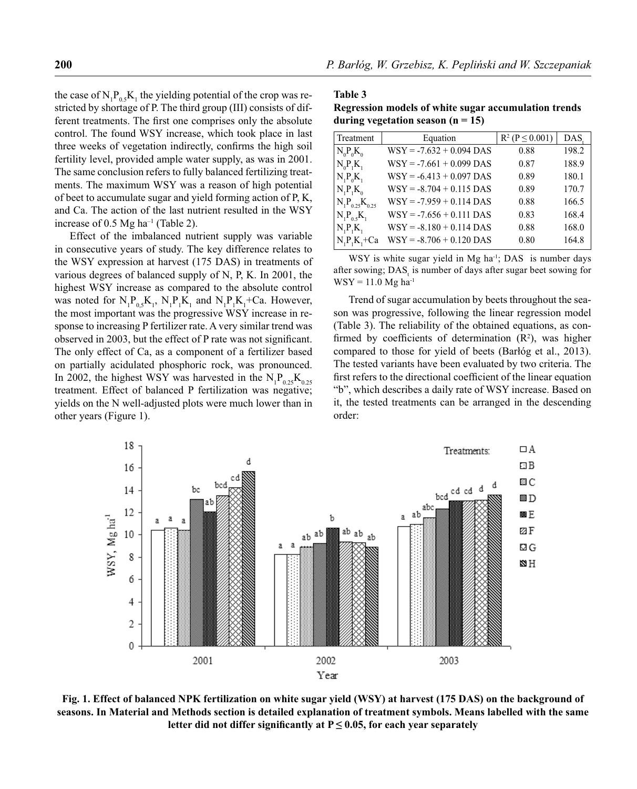the case of  $N_1P_{0.5}K_1$  the yielding potential of the crop was restricted by shortage of P. The third group (III) consists of different treatments. The first one comprises only the absolute control. The found WSY increase, which took place in last three weeks of vegetation indirectly, confirms the high soil fertility level, provided ample water supply, as was in 2001. The same conclusion refers to fully balanced fertilizing treatments. The maximum WSY was a reason of high potential of beet to accumulate sugar and yield forming action of P, K, and Ca. The action of the last nutrient resulted in the WSY increase of 0.5 Mg ha<sup>-1</sup> (Table 2).

Effect of the imbalanced nutrient supply was variable in consecutive years of study. The key difference relates to the WSY expression at harvest (175 DAS) in treatments of various degrees of balanced supply of N, P, K. In 2001, the highest WSY increase as compared to the absolute control was noted for  $N_1P_{0,5}K_1$ ,  $N_1P_1K_1$  and  $N_1P_1K_1$ +Ca. However, the most important was the progressive WSY increase in response to increasing P fertilizer rate. A very similar trend was observed in 2003, but the effect of P rate was not significant. The only effect of Ca, as a component of a fertilizer based on partially acidulated phosphoric rock, was pronounced. In 2002, the highest WSY was harvested in the  $N_1P_{0.25}K_{0.25}$ treatment. Effect of balanced P fertilization was negative; yields on the N well-adjusted plots were much lower than in other years (Figure 1).

**Table 3 Regression models of white sugar accumulation trends during vegetation season (n = 15)**

| Treatment             | Equation                   | $R^2$ (P $\leq$ 0.001) | DAS.  |
|-----------------------|----------------------------|------------------------|-------|
| $N_0 P_0 K_0$         | $WSY = -7.632 + 0.094$ DAS | 0.88                   | 198.2 |
| $N_0P_1K_1$           | $WSY = -7.661 + 0.099$ DAS | 0.87                   | 188.9 |
| $N_1P_0K_1$           | $WSY = -6.413 + 0.097$ DAS | 0.89                   | 180.1 |
| $N_1P_1K_0$           | $WSY = -8.704 + 0.115$ DAS | 0.89                   | 170.7 |
| $N_1P_{0.25}K_{0.25}$ | $WSY = -7.959 + 0.114$ DAS | 0.88                   | 166.5 |
| $N_1P_0,K_1$          | $WSY = -7.656 + 0.111$ DAS | 0.83                   | 168.4 |
| $N_1P_1K_1$           | $WSY = -8.180 + 0.114$ DAS | 0.88                   | 168.0 |
| $N, P, K, +Ca$        | $WSY = -8.706 + 0.120$ DAS | 0.80                   | 164.8 |

WSY is white sugar yield in Mg ha<sup>-1</sup>; DAS is number days after sowing; DAS, is number of days after sugar beet sowing for  $WSY = 11.0$  Mg ha<sup>-1</sup>

Trend of sugar accumulation by beets throughout the season was progressive, following the linear regression model (Table 3). The reliability of the obtained equations, as confirmed by coefficients of determination  $(R^2)$ , was higher compared to those for yield of beets (Barłóg et al., 2013). The tested variants have been evaluated by two criteria. The first refers to the directional coefficient of the linear equation "b", which describes a daily rate of WSY increase. Based on it, the tested treatments can be arranged in the descending order:



**Fig.1. Effect of balanced NPK fertilization on white sugar yield (WSY) at harvest (175 DAS) on the background of seasons. In Material and Methods section is detailed explanation of treatment symbols. Means labelled with the same**  letter did not differ significantly at  $P \leq 0.05$ , for each year separately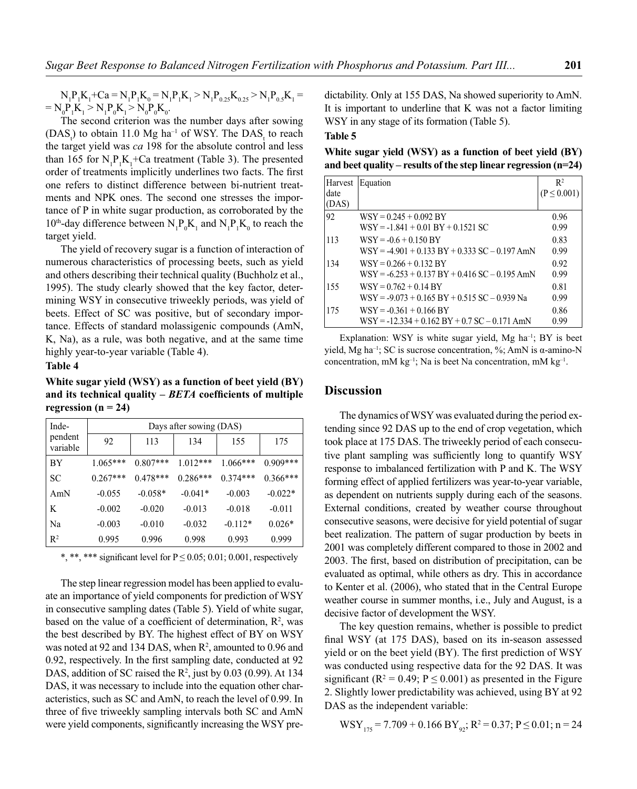$N_1P_1K_1+Ca = N_1P_1K_0 = N_1P_1K_1 > N_1P_{0.25}K_{0.25} > N_1P_{0.5}K_1 =$  $= N_0 P_1 K_1 > N_1 P_0 K_1 > N_0 P_0 K_0.$ 

The second criterion was the number days after sowing  $(DAS_t)$  to obtain 11.0 Mg ha<sup>-1</sup> of WSY. The DAS<sub>t</sub> to reach the target yield was *ca* 198 for the absolute control and less than 165 for  $N_1P_1K_1+Ca$  treatment (Table 3). The presented order of treatments implicitly underlines two facts. The first one refers to distinct difference between bi-nutrient treatments and NPK ones. The second one stresses the importance of P in white sugar production, as corroborated by the 10<sup>th</sup>-day difference between  $N_1 P_0 K_1$  and  $N_1 P_1 K_0$  to reach the target yield.

The yield of recovery sugar is a function of interaction of numerous characteristics of processing beets, such as yield and others describing their technical quality (Buchholz et al., 1995). The study clearly showed that the key factor, determining WSY in consecutive triweekly periods, was yield of beets. Effect of SC was positive, but of secondary importance. Effects of standard molassigenic compounds (AmN, K, Na), as a rule, was both negative, and at the same time highly year-to-year variable (Table 4).

#### **Table 4**

**White sugar yield (WSY) as a function of beet yield (BY)**  and its technical quality – *BETA* coefficients of multiple regression  $(n = 24)$ 

| Inde-               | Days after sowing (DAS) |            |            |            |            |  |  |
|---------------------|-------------------------|------------|------------|------------|------------|--|--|
| pendent<br>variable | 92                      | 113        | 134        | 155        | 175        |  |  |
| BY                  | $1.065***$              | $0.807***$ | $1.012***$ | $1.066***$ | $0.909***$ |  |  |
| <b>SC</b>           | $0.267***$              | $0.478***$ | $0.286***$ | $0.374***$ | $0.366***$ |  |  |
| AmN                 | $-0.055$                | $-0.058*$  | $-0.041*$  | $-0.003$   | $-0.022*$  |  |  |
| K                   | $-0.002$                | $-0.020$   | $-0.013$   | $-0.018$   | $-0.011$   |  |  |
| Na                  | $-0.003$                | $-0.010$   | $-0.032$   | $-0.112*$  | $0.026*$   |  |  |
| R <sup>2</sup>      | 0.995                   | 0.996      | 0.998      | 0.993      | 0.999      |  |  |

\*, \*\*, \*\*\* significant level for  $P \le 0.05$ ; 0.01; 0.001, respectively

The step linear regression model has been applied to evaluate an importance of yield components for prediction of WSY in consecutive sampling dates (Table 5). Yield of white sugar, based on the value of a coefficient of determination,  $\mathbb{R}^2$ , was the best described by BY. The highest effect of BY on WSY was noted at 92 and 134 DAS, when  $R^2$ , amounted to 0.96 and  $0.92$ , respectively. In the first sampling date, conducted at  $92$ DAS, addition of SC raised the  $\mathbb{R}^2$ , just by 0.03 (0.99). At 134 DAS, it was necessary to include into the equation other characteristics, such as SC and AmN, to reach the level of 0.99. In three of five triweekly sampling intervals both SC and AmN were yield components, significantly increasing the WSY predictability. Only at 155 DAS, Na showed superiority to AmN. It is important to underline that K was not a factor limiting WSY in any stage of its formation (Table 5).

#### **Table 5**

**White sugar yield (WSY) as a function of beet yield (BY) and beet quality – results of the step linear regression (n=24)**

| Harvest | Equation                                         | $\mathbb{R}^2$  |
|---------|--------------------------------------------------|-----------------|
| date    |                                                  | $(P \le 0.001)$ |
| (DAS)   |                                                  |                 |
| 92      | $WSY = 0.245 + 0.092$ BY                         | 0.96            |
|         | $WSY = -1.841 + 0.01$ BY + 0.1521 SC             | 0.99            |
| 113     | $WSY = -0.6 + 0.150$ BY                          | 0.83            |
|         | $WSY = -4.901 + 0.133 BY + 0.333 SC - 0.197 AMN$ | 0.99            |
| 134     | $WSY = 0.266 + 0.132$ BY                         | 0.92            |
|         | $WSY = -6.253 + 0.137 BY + 0.416 SC - 0.195 AMN$ | 0.99            |
| 155     | $WSY = 0.762 + 0.14$ BY                          | 0.81            |
|         | $WSY = -9.073 + 0.165 BY + 0.515 SC - 0.939 Na$  | 0.99            |
| 175     | $WSY = -0.361 + 0.166$ BY                        | 0.86            |
|         | $WSY = -12.334 + 0.162 BY + 0.7 SC - 0.171 AMN$  | 0.99            |

Explanation: WSY is white sugar yield, Mg ha<sup>-1</sup>; BY is beet yield, Mg ha<sup>-1</sup>; SC is sucrose concentration, %; AmN is α-amino-N concentration, mM kg<sup>-1</sup>; Na is beet Na concentration, mM kg<sup>-1</sup>.

## **Discussion**

The dynamics of WSY was evaluated during the period extending since 92 DAS up to the end of crop vegetation, which took place at 175 DAS. The triweekly period of each consecutive plant sampling was sufficiently long to quantify WSY response to imbalanced fertilization with P and K. The WSY forming effect of applied fertilizers was year-to-year variable, as dependent on nutrients supply during each of the seasons. External conditions, created by weather course throughout consecutive seasons, were decisive for yield potential of sugar beet realization. The pattern of sugar production by beets in 2001 was completely different compared to those in 2002 and 2003. The first, based on distribution of precipitation, can be evaluated as optimal, while others as dry. This in accordance to Kenter et al. (2006), who stated that in the Central Europe weather course in summer months, i.e., July and August, is a decisive factor of development the WSY.

The key question remains, whether is possible to predict final WSY (at 175 DAS), based on its in-season assessed yield or on the beet yield (BY). The first prediction of WSY was conducted using respective data for the 92 DAS. It was significant ( $R^2 = 0.49$ ;  $P \le 0.001$ ) as presented in the Figure 2. Slightly lower predictability was achieved, using BY at 92 DAS as the independent variable:

$$
WSY_{175} = 7.709 + 0.166 \text{ BY}_{92}; R^2 = 0.37; P \le 0.01; n = 24
$$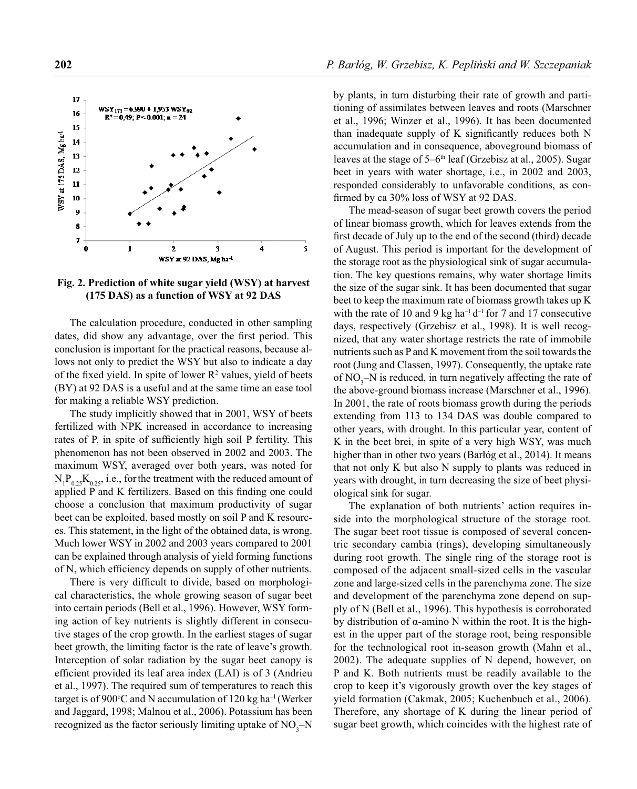

Fig. 2. Prediction of white sugar yield (WSY) at harvest **(175 DAS) as a function of WSY at 92 DAS**

The calculation procedure, conducted in other sampling dates, did show any advantage, over the first period. This conclusion is important for the practical reasons, because allows not only to predict the WSY but also to indicate a day of the fixed yield. In spite of lower  $\mathbb{R}^2$  values, yield of beets (BY) at 92 DAS is a useful and at the same time an ease tool for making a reliable WSY prediction.

The study implicitly showed that in 2001, WSY of beets fertilized with NPK increased in accordance to increasing rates of P, in spite of sufficiently high soil P fertility. This phenomenon has not been observed in 2002 and 2003. The maximum WSY, averaged over both years, was noted for  $N_1P_{0.25}K_{0.25}$ , i.e., for the treatment with the reduced amount of applied P and K fertilizers. Based on this finding one could choose a conclusion that maximum productivity of sugar beet can be exploited, based mostly on soil P and K resources. This statement, in the light of the obtained data, is wrong. Much lower WSY in 2002 and 2003 years compared to 2001 can be explained through analysis of yield forming functions of N, which efficiency depends on supply of other nutrients.

There is very difficult to divide, based on morphological characteristics, the whole growing season of sugar beet into certain periods (Bell et al., 1996). However, WSY forming action of key nutrients is slightly different in consecutive stages of the crop growth. In the earliest stages of sugar beet growth, the limiting factor is the rate of leave's growth. Interception of solar radiation by the sugar beet canopy is efficient provided its leaf area index (LAI) is of 3 (Andrieu et al., 1997). The required sum of temperatures to reach this target is of 900 $\degree$ C and N accumulation of 120 kg ha<sup>-1</sup> (Werker and Jaggard, 1998; Malnou et al., 2006). Potassium has been recognized as the factor seriously limiting uptake of  $NO<sub>3</sub>–N$  by plants, in turn disturbing their rate of growth and partitioning of assimilates between leaves and roots (Marschner et al., 1996; Winzer et al., 1996). It has been documented than inadequate supply of K significantly reduces both  $N$ accumulation and in consequence, aboveground biomass of leaves at the stage of 5–6th leaf (Grzebisz at al., 2005). Sugar beet in years with water shortage, i.e., in 2002 and 2003, responded considerably to unfavorable conditions, as confirmed by ca 30% loss of WSY at 92 DAS.

The mead-season of sugar beet growth covers the period of linear biomass growth, which for leaves extends from the first decade of July up to the end of the second (third) decade of August. This period is important for the development of the storage root as the physiological sink of sugar accumulation. The key questions remains, why water shortage limits the size of the sugar sink. It has been documented that sugar beet to keep the maximum rate of biomass growth takes up K with the rate of 10 and 9 kg ha<sup>-1</sup> d<sup>-1</sup> for 7 and 17 consecutive days, respectively (Grzebisz et al., 1998). It is well recognized, that any water shortage restricts the rate of immobile nutrients such as P and K movement from the soil towards the root (Jung and Classen, 1997). Consequently, the uptake rate of  $NO_3$ - $N$  is reduced, in turn negatively affecting the rate of the above-ground biomass increase (Marschner et al., 1996). In 2001, the rate of roots biomass growth during the periods extending from 113 to 134 DAS was double compared to other years, with drought. In this particular year, content of K in the beet brei, in spite of a very high WSY, was much higher than in other two years (Barłóg et al., 2014). It means that not only K but also N supply to plants was reduced in years with drought, in turn decreasing the size of beet physiological sink for sugar.

The explanation of both nutrients' action requires inside into the morphological structure of the storage root. The sugar beet root tissue is composed of several concentric secondary cambia (rings), developing simultaneously during root growth. The single ring of the storage root is composed of the adjacent small-sized cells in the vascular zone and large-sized cells in the parenchyma zone. The size and development of the parenchyma zone depend on supply of N (Bell et al., 1996). This hypothesis is corroborated by distribution of  $\alpha$ -amino N within the root. It is the highest in the upper part of the storage root, being responsible for the technological root in-season growth (Mahn et al., 2002). The adequate supplies of N depend, however, on P and K. Both nutrients must be readily available to the crop to keep it's vigorously growth over the key stages of yield formation (Cakmak, 2005; Kuchenbuch et al., 2006). Therefore, any shortage of K during the linear period of sugar beet growth, which coincides with the highest rate of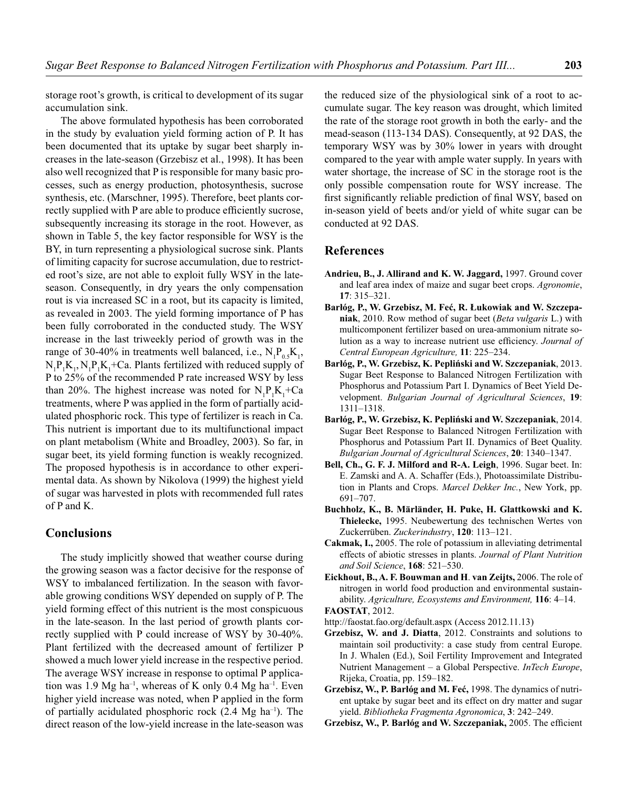storage root's growth, is critical to development of its sugar accumulation sink.

The above formulated hypothesis has been corroborated in the study by evaluation yield forming action of P. It has been documented that its uptake by sugar beet sharply increases in the late-season (Grzebisz et al., 1998). It has been also well recognized that P is responsible for many basic processes, such as energy production, photosynthesis, sucrose synthesis, etc. (Marschner, 1995). Therefore, beet plants correctly supplied with P are able to produce efficiently sucrose, subsequently increasing its storage in the root. However, as shown in Table 5, the key factor responsible for WSY is the BY, in turn representing a physiological sucrose sink. Plants of limiting capacity for sucrose accumulation, due to restricted root's size, are not able to exploit fully WSY in the lateseason. Consequently, in dry years the only compensation rout is via increased SC in a root, but its capacity is limited, as revealed in 2003. The yield forming importance of P has been fully corroborated in the conducted study. The WSY increase in the last triweekly period of growth was in the range of 30-40% in treatments well balanced, i.e.,  $N_1 P_{0.5} K_1$ ,  $N_1P_1K_1$ ,  $N_1P_1K_1$ +Ca. Plants fertilized with reduced supply of P to 25% of the recommended P rate increased WSY by less than 20%. The highest increase was noted for  $N_1P_1K_1+Ca$ treatments, where P was applied in the form of partially acidulated phosphoric rock. This type of fertilizer is reach in Ca. This nutrient is important due to its multifunctional impact on plant metabolism (White and Broadley, 2003). So far, in sugar beet, its yield forming function is weakly recognized. The proposed hypothesis is in accordance to other experimental data. As shown by Nikolova (1999) the highest yield of sugar was harvested in plots with recommended full rates of P and K.

#### **Conclusions**

The study implicitly showed that weather course during the growing season was a factor decisive for the response of WSY to imbalanced fertilization. In the season with favorable growing conditions WSY depended on supply of P. The yield forming effect of this nutrient is the most conspicuous in the late-season. In the last period of growth plants correctly supplied with P could increase of WSY by 30-40%. Plant fertilized with the decreased amount of fertilizer P showed a much lower yield increase in the respective period. The average WSY increase in response to optimal P application was 1.9 Mg ha<sup>-1</sup>, whereas of K only 0.4 Mg ha<sup>-1</sup>. Even higher yield increase was noted, when P applied in the form of partially acidulated phosphoric rock  $(2.4 \text{ Mg } ha^{-1})$ . The direct reason of the low-yield increase in the late-season was

the reduced size of the physiological sink of a root to accumulate sugar. The key reason was drought, which limited the rate of the storage root growth in both the early- and the mead-season (113-134 DAS). Consequently, at 92 DAS, the temporary WSY was by 30% lower in years with drought compared to the year with ample water supply. In years with water shortage, the increase of SC in the storage root is the only possible compensation route for WSY increase. The first significantly reliable prediction of final WSY, based on in-season yield of beets and/or yield of white sugar can be conducted at 92 DAS.

#### **References**

- **Andrieu, B., J. Allirand and K. W. Jaggard,** 1997. Ground cover and leaf area index of maize and sugar beet crops. *Agronomie*, **17**: 315–321.
- **Barłóg, P., W. Grzebisz, M. Feć, R. Łukowiak and W. Szczepaniak**, 2010. Row method of sugar beet (*Beta vulgaris* L.) with multicomponent fertilizer based on urea-ammonium nitrate solution as a way to increase nutrient use efficiency. *Journal of Central European Agriculture,* **11**: 225–234.
- **Barłóg, P., W. Grzebisz, K. Pepliński and W. Szczepaniak**, 2013. Sugar Beet Response to Balanced Nitrogen Fertilization with Phosphorus and Potassium Part I. Dynamics of Beet Yield Development. *Bulgarian Journal of Agricultural Sciences*, **19**: 1311–1318.
- **Barłóg, P., W. Grzebisz, K. Pepliński and W. Szczepaniak**, 2014. Sugar Beet Response to Balanced Nitrogen Fertilization with Phosphorus and Potassium Part II. Dynamics of Beet Quality. *Bulgarian Journal of Agricultural Sciences*, **20**: 1340–1347.
- **Bell, Ch., G. F. J. Milford and R-A. Leigh**, 1996. Sugar beet. In: E. Zamski and A. A. Schaffer (Eds.), Photoassimilate Distribution in Plants and Crops. *Marcel Dekker Inc.*, New York, pp. 691–707.
- **Buchholz, K., B. Märländer, H. Puke, H. Glattkowski and K. Thielecke,** 1995. Neubewertung des technischen Wertes von Zuckerrüben. *Zuckerindustry*, **120**: 113–121.
- **Cakmak, I.,** 2005. The role of potassium in alleviating detrimental effects of abiotic stresses in plants. *Journal of Plant Nutrition and Soil Science*, **168**: 521–530.
- **Eickhout, B., A. F. Bouwman and H**. **van Zeijts,** 2006. The role of nitrogen in world food production and environmental sustainability. *Agriculture, Ecosystems and Environment,* **116**: 4–14. **FAOSTAT**, 2012.
- http://faostat.fao.org/default.aspx (Access 2012.11.13)
- **Grzebisz, W. and J. Diatta**, 2012. Constraints and solutions to maintain soil productivity: a case study from central Europe. In J. Whalen (Ed.), Soil Fertility Improvement and Integrated Nutrient Management – a Global Perspective. *InTech Europe*, Rijeka, Croatia, pp. 159–182.
- **Grzebisz, W., P. Barłóg and M. Feć,** 1998. The dynamics of nutrient uptake by sugar beet and its effect on dry matter and sugar yield. *Bibliotheka Fragmenta Agronomica*, **3**: 242–249.
- **Grzebisz, W., P. Barłóg and W. Szczepaniak, 2005. The efficient**